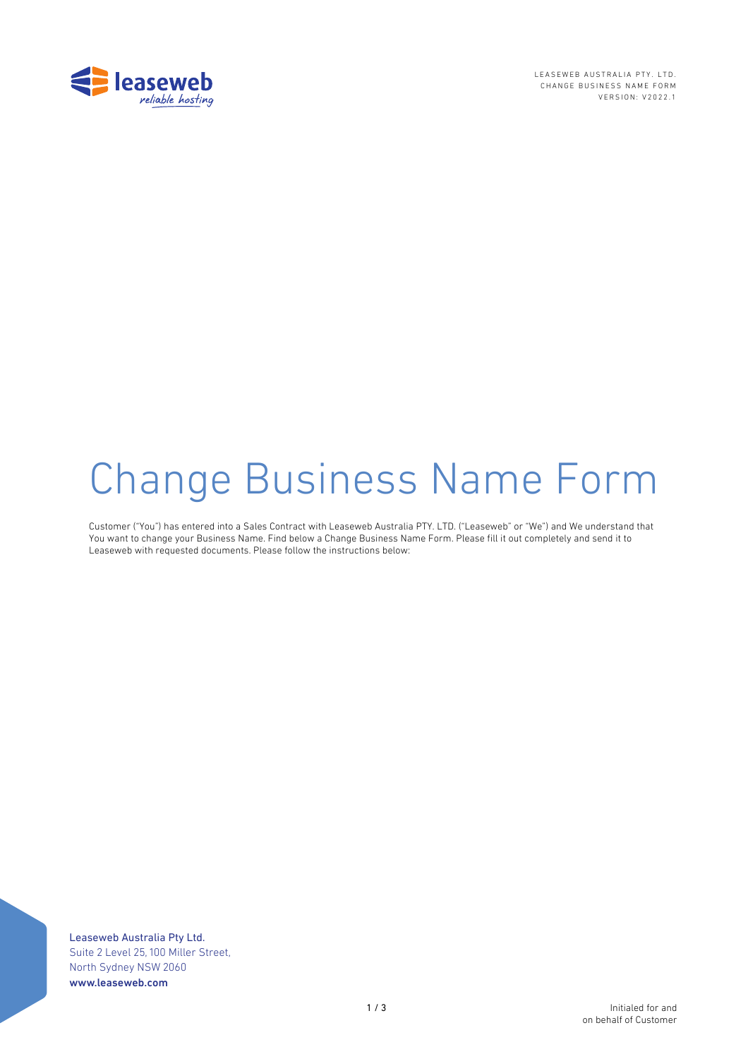

LEASEWEB AUSTRALIA PTY. LTD. CHANGE BUSINESS NAME FORM VERSION: V202 2 . 1

# Change Business Name Form

Customer ("You") has entered into a Sales Contract with Leaseweb Australia PTY. LTD. ("Leaseweb" or "We") and We understand that You want to change your Business Name. Find below a Change Business Name Form. Please fill it out completely and send it to Leaseweb with requested documents. Please follow the instructions below:

Leaseweb Australia Pty Ltd. Suite 2 Level 25, 100 Miller Street, North Sydney NSW 2060 www.leaseweb.com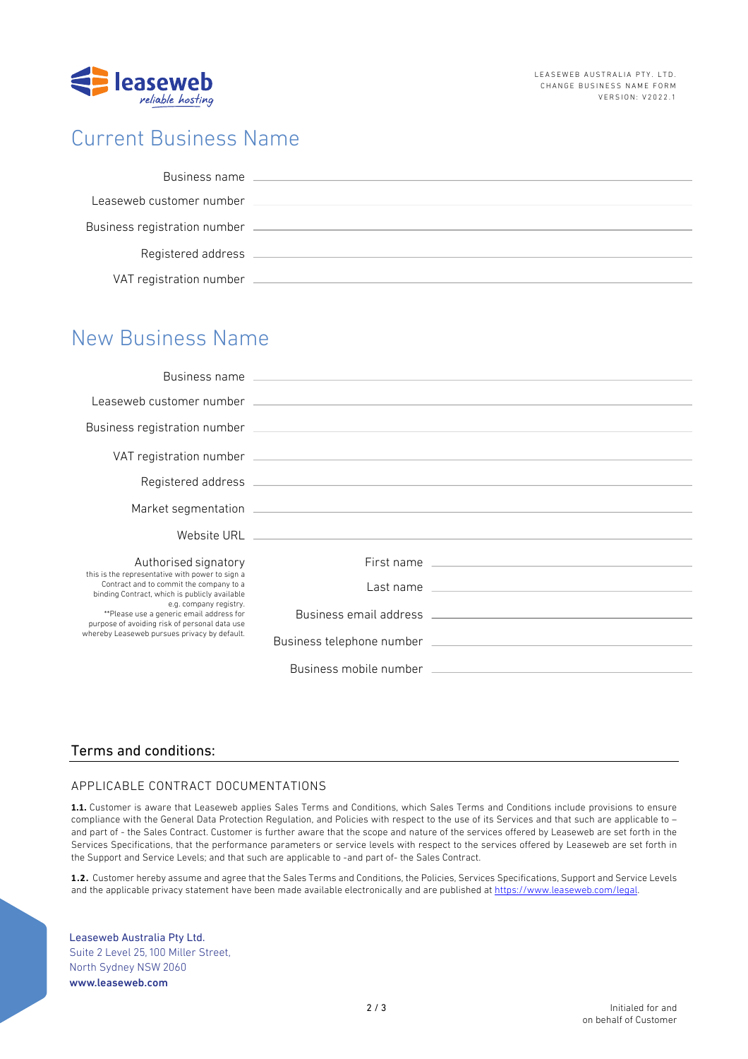

## Current Business Name

| Business name                |  |
|------------------------------|--|
| Leaseweb customer number     |  |
| Business registration number |  |
| Registered address           |  |
| VAT registration number      |  |

## New Business Name

|                                                                                                                                                                                                                                                                                                                    | Leaseweb customer number (2002) 2003 and 2004 and 2004 and 2004 and 2004 and 2004 and 2004 and 2004 and 2004 and 2004 and 2004 and 2004 and 2004 and 2004 and 2004 and 2004 and 2004 and 2004 and 2004 and 2004 and 2004 and 2 |
|--------------------------------------------------------------------------------------------------------------------------------------------------------------------------------------------------------------------------------------------------------------------------------------------------------------------|--------------------------------------------------------------------------------------------------------------------------------------------------------------------------------------------------------------------------------|
|                                                                                                                                                                                                                                                                                                                    |                                                                                                                                                                                                                                |
|                                                                                                                                                                                                                                                                                                                    |                                                                                                                                                                                                                                |
|                                                                                                                                                                                                                                                                                                                    |                                                                                                                                                                                                                                |
|                                                                                                                                                                                                                                                                                                                    |                                                                                                                                                                                                                                |
|                                                                                                                                                                                                                                                                                                                    |                                                                                                                                                                                                                                |
| Authorised signatory                                                                                                                                                                                                                                                                                               |                                                                                                                                                                                                                                |
| this is the representative with power to sign a<br>Contract and to commit the company to a<br>binding Contract, which is publicly available<br>e.g. company registry.<br>**Please use a generic email address for<br>purpose of avoiding risk of personal data use<br>whereby Leaseweb pursues privacy by default. | Last name entirely and the state of the state of the state of the state of the state of the state of the state of the state of the state of the state of the state of the state of the state of the state of the state of the  |
|                                                                                                                                                                                                                                                                                                                    | Business email address and the control of the control of the control of the control of the control of the control of the control of the control of the control of the control of the control of the control of the control of  |
|                                                                                                                                                                                                                                                                                                                    |                                                                                                                                                                                                                                |
|                                                                                                                                                                                                                                                                                                                    | Business mobile number that the control of the control of the control of the control of the control of the control of the control of the control of the control of the control of the control of the control of the control of |

### Terms and conditions:

#### APPLICABLE CONTRACT DOCUMENTATIONS

**1.1.** Customer is aware that Leaseweb applies Sales Terms and Conditions, which Sales Terms and Conditions include provisions to ensure compliance with the General Data Protection Regulation, and Policies with respect to the use of its Services and that such are applicable to – and part of - the Sales Contract. Customer is further aware that the scope and nature of the services offered by Leaseweb are set forth in the Services Specifications, that the performance parameters or service levels with respect to the services offered by Leaseweb are set forth in the Support and Service Levels; and that such are applicable to -and part of- the Sales Contract.

**1.2.** Customer hereby assume and agree that the Sales Terms and Conditions, the Policies, Services Specifications, Support and Service Levels and the applicable privacy statement have been made available electronically and are published at https://www.leaseweb.com/legal.

Leaseweb Australia Pty Ltd. Suite 2 Level 25, 100 Miller Street, North Sydney NSW 2060 www.leaseweb.com